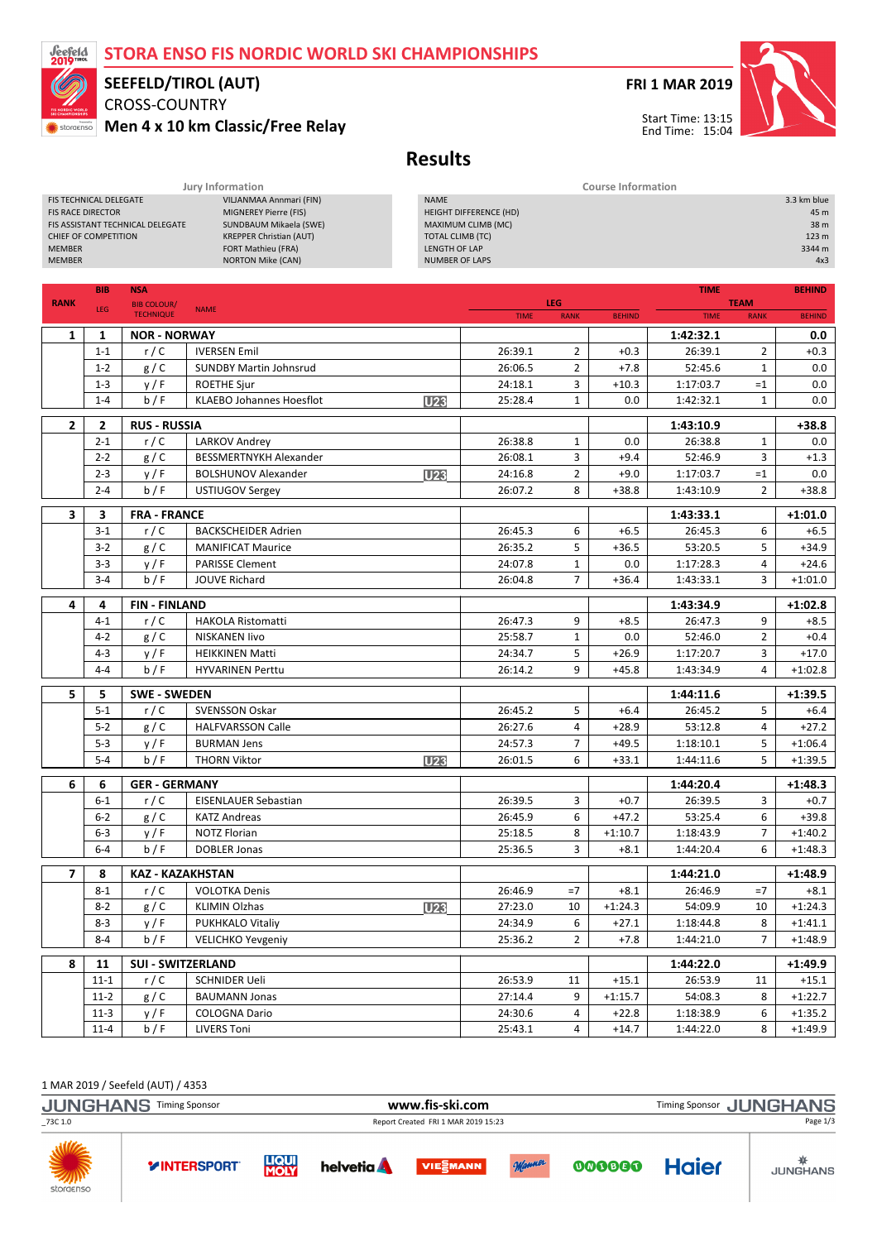### STORA ENSO FIS NORDIC WORLD SKI CHAMPIONSHIPS



# SEEFELD/TIROL (AUT)

FIS TECHNICAL DELEGATE VILJANMAA Annmari (FIN)

CROSS-COUNTRY Men 4 x 10 km Classic/Free Relay





3.3 km blue

Start Time: 13:15 End Time: 15:04

## Results

Jury Information Course Information

| <b>FIS RACE DIRECTOR</b><br>MIGNEREY Pierre (FIS)<br>SUNDBAUM Mikaela (SWE)<br>FIS ASSISTANT TECHNICAL DELEGATE<br><b>KREPPER Christian (AUT)</b><br>CHIEF OF COMPETITION<br><b>MEMBER</b><br>LENGTH OF LAP<br>FORT Mathieu (FRA)<br><b>MEMBER</b><br><b>NORTON Mike (CAN)</b> |                                 |                                        |                                 |                  | <b>HEIGHT DIFFERENCE (HD)</b><br>MAXIMUM CLIMB (MC)<br><b>TOTAL CLIMB (TC)</b><br><b>NUMBER OF LAPS</b> |                           |                   |                        |                            | 45 m<br>38 m<br>123 m<br>3344 m<br>4x3 |
|--------------------------------------------------------------------------------------------------------------------------------------------------------------------------------------------------------------------------------------------------------------------------------|---------------------------------|----------------------------------------|---------------------------------|------------------|---------------------------------------------------------------------------------------------------------|---------------------------|-------------------|------------------------|----------------------------|----------------------------------------|
|                                                                                                                                                                                                                                                                                |                                 |                                        |                                 |                  |                                                                                                         |                           |                   |                        |                            |                                        |
|                                                                                                                                                                                                                                                                                | <b>BIB</b>                      | <b>NSA</b>                             |                                 |                  |                                                                                                         |                           |                   | <b>TIME</b>            |                            | <b>BEHIND</b>                          |
| <b>RANK</b>                                                                                                                                                                                                                                                                    | LEG                             | <b>BIB COLOUR/</b><br><b>TECHNIQUE</b> | <b>NAME</b>                     |                  | <b>TIME</b>                                                                                             | <b>LEG</b><br><b>RANK</b> | <b>BEHIND</b>     | <b>TIME</b>            | <b>TEAM</b><br><b>RANK</b> | <b>BEHIND</b>                          |
| 1                                                                                                                                                                                                                                                                              | 1                               | <b>NOR - NORWAY</b>                    |                                 |                  |                                                                                                         |                           |                   | 1:42:32.1              |                            | 0.0                                    |
|                                                                                                                                                                                                                                                                                | $1 - 1$                         | r/C                                    | <b>IVERSEN Emil</b>             |                  | 26:39.1                                                                                                 | $\overline{2}$            | $+0.3$            | 26:39.1                | $\overline{2}$             | $+0.3$                                 |
|                                                                                                                                                                                                                                                                                | $1 - 2$                         | g / C                                  | <b>SUNDBY Martin Johnsrud</b>   |                  | 26:06.5                                                                                                 | $\overline{2}$            | $+7.8$            | 52:45.6                | $\mathbf{1}$               | 0.0                                    |
|                                                                                                                                                                                                                                                                                | $1 - 3$                         | y/F                                    | <b>ROETHE Sjur</b>              |                  | 24:18.1                                                                                                 | 3                         | $+10.3$           | 1:17:03.7              | $=1$                       | 0.0                                    |
|                                                                                                                                                                                                                                                                                | $1 - 4$                         | b/F                                    | <b>KLAEBO Johannes Hoesflot</b> | U <sub>23</sub>  | 25:28.4                                                                                                 | $\mathbf{1}$              | 0.0               | 1:42:32.1              | $\mathbf{1}$               | 0.0                                    |
|                                                                                                                                                                                                                                                                                |                                 |                                        |                                 |                  |                                                                                                         |                           |                   |                        |                            |                                        |
| $\overline{2}$                                                                                                                                                                                                                                                                 | $\mathbf{2}$                    | <b>RUS - RUSSIA</b>                    |                                 |                  |                                                                                                         |                           |                   | 1:43:10.9              |                            | $+38.8$                                |
|                                                                                                                                                                                                                                                                                | $2 - 1$                         | r/C                                    | <b>LARKOV Andrey</b>            |                  | 26:38.8                                                                                                 | $\mathbf{1}$              | 0.0               | 26:38.8                | 1                          | 0.0                                    |
|                                                                                                                                                                                                                                                                                | $2 - 2$                         | g/C                                    | <b>BESSMERTNYKH Alexander</b>   |                  | 26:08.1                                                                                                 | 3                         | $+9.4$            | 52:46.9                | 3                          | $+1.3$                                 |
|                                                                                                                                                                                                                                                                                | $2 - 3$<br>$2 - 4$              | y/F<br>b/F                             | <b>BOLSHUNOV Alexander</b>      | U <sub>23</sub>  | 24:16.8<br>26:07.2                                                                                      | $\overline{2}$<br>8       | $+9.0$<br>$+38.8$ | 1:17:03.7<br>1:43:10.9 | $=1$<br>$\overline{2}$     | 0.0<br>$+38.8$                         |
|                                                                                                                                                                                                                                                                                |                                 |                                        | USTIUGOV Sergey                 |                  |                                                                                                         |                           |                   |                        |                            |                                        |
| 3                                                                                                                                                                                                                                                                              | 3                               | <b>FRA - FRANCE</b>                    |                                 |                  |                                                                                                         |                           |                   | 1:43:33.1              |                            | $+1:01.0$                              |
|                                                                                                                                                                                                                                                                                | $3-1$                           | r/C                                    | <b>BACKSCHEIDER Adrien</b>      |                  | 26:45.3                                                                                                 | 6                         | $+6.5$            | 26:45.3                | 6                          | $+6.5$                                 |
|                                                                                                                                                                                                                                                                                | $3-2$                           | g/C                                    | <b>MANIFICAT Maurice</b>        |                  | 26:35.2                                                                                                 | 5                         | $+36.5$           | 53:20.5                | 5                          | $+34.9$                                |
|                                                                                                                                                                                                                                                                                | $3 - 3$                         | y/F                                    | <b>PARISSE Clement</b>          |                  | 24:07.8                                                                                                 | 1                         | 0.0               | 1:17:28.3              | $\overline{4}$             | $+24.6$                                |
|                                                                                                                                                                                                                                                                                | $3 - 4$<br>b/F<br>JOUVE Richard |                                        |                                 |                  | 26:04.8                                                                                                 | $\overline{7}$            | $+36.4$           | 1:43:33.1              | 3                          | $+1:01.0$                              |
| 4                                                                                                                                                                                                                                                                              | 4                               | <b>FIN-FINLAND</b>                     |                                 |                  |                                                                                                         | 1:43:34.9                 |                   | $+1:02.8$              |                            |                                        |
|                                                                                                                                                                                                                                                                                | $4 - 1$                         | r/C                                    | <b>HAKOLA Ristomatti</b>        |                  | 26:47.3                                                                                                 | 9                         | $+8.5$            | 26:47.3                | 9                          | $+8.5$                                 |
|                                                                                                                                                                                                                                                                                | $4 - 2$                         | g/C                                    | <b>NISKANEN livo</b>            |                  | 25:58.7                                                                                                 | $\mathbf{1}$              | 0.0               | 52:46.0                | $\overline{2}$             | $+0.4$                                 |
|                                                                                                                                                                                                                                                                                | $4 - 3$                         | y/F                                    | <b>HEIKKINEN Matti</b>          |                  | 24:34.7                                                                                                 | 5                         | $+26.9$           | 1:17:20.7              | 3                          | $+17.0$                                |
|                                                                                                                                                                                                                                                                                | $4 - 4$                         | b/F                                    | <b>HYVARINEN Perttu</b>         | 26:14.2          | 9                                                                                                       | $+45.8$                   | 1:43:34.9         | $\overline{4}$         | $+1:02.8$                  |                                        |
| 5                                                                                                                                                                                                                                                                              | 5                               | <b>SWE - SWEDEN</b>                    |                                 |                  |                                                                                                         |                           |                   | 1:44:11.6              |                            | $+1:39.5$                              |
|                                                                                                                                                                                                                                                                                | $5 - 1$                         | r/C                                    | <b>SVENSSON Oskar</b>           |                  | 26:45.2                                                                                                 | 5                         | $+6.4$            | 26:45.2                | 5                          | $+6.4$                                 |
|                                                                                                                                                                                                                                                                                | $5 - 2$                         | g / C                                  | <b>HALFVARSSON Calle</b>        |                  | 26:27.6                                                                                                 | 4                         | $+28.9$           | 53:12.8                | 4                          | $+27.2$                                |
|                                                                                                                                                                                                                                                                                | $5 - 3$                         | y/F                                    | <b>BURMAN Jens</b>              |                  | 24:57.3                                                                                                 | $\overline{7}$            | $+49.5$           | 1:18:10.1              | 5                          | $+1:06.4$                              |
|                                                                                                                                                                                                                                                                                | $5 - 4$                         | b/F                                    | <b>THORN Viktor</b>             | <b>U23</b>       | 26:01.5                                                                                                 | 6                         | $+33.1$           | 1:44:11.6              | 5                          | $+1:39.5$                              |
| 6                                                                                                                                                                                                                                                                              | 6                               | <b>GER - GERMANY</b>                   |                                 |                  |                                                                                                         |                           |                   | 1:44:20.4              |                            | $+1:48.3$                              |
|                                                                                                                                                                                                                                                                                | $6-1$                           | r/C                                    | <b>EISENLAUER Sebastian</b>     |                  | 26:39.5                                                                                                 | 3                         | $+0.7$            | 26:39.5                | 3                          | $+0.7$                                 |
|                                                                                                                                                                                                                                                                                | $6 - 2$                         | g/C                                    | <b>KATZ Andreas</b>             |                  | 26:45.9                                                                                                 | 6                         | $+47.2$           | 53:25.4                | 6                          | $+39.8$                                |
|                                                                                                                                                                                                                                                                                | $6 - 3$                         | y/F                                    | <b>NOTZ Florian</b>             |                  | 25:18.5                                                                                                 | 8                         | $+1:10.7$         | 1:18:43.9              | $\overline{7}$             | $+1:40.2$                              |
|                                                                                                                                                                                                                                                                                | $6 - 4$                         | b/F                                    | <b>DOBLER Jonas</b>             |                  | 25:36.5                                                                                                 | 3                         | $+8.1$            | 1:44:20.4              | 6                          | $+1:48.3$                              |
|                                                                                                                                                                                                                                                                                |                                 |                                        |                                 |                  |                                                                                                         |                           |                   |                        |                            |                                        |
| 7                                                                                                                                                                                                                                                                              | 8                               | KAZ - KAZAKHSTAN                       |                                 |                  |                                                                                                         |                           | 1:44:21.0         |                        | $+1:48.9$                  |                                        |
|                                                                                                                                                                                                                                                                                | $8 - 1$                         | r/C                                    | <b>VOLOTKA Denis</b>            |                  | 26:46.9                                                                                                 | $=7$                      | $+8.1$            | 26:46.9                | $=7$                       | $+8.1$                                 |
|                                                                                                                                                                                                                                                                                | $8 - 2$                         | g / C                                  | KLIMIN Olzhas                   | <b>U23</b>       | 27:23.0<br>24:34.9                                                                                      | 10                        | $+1:24.3$         | 54:09.9                | 10                         | $+1:24.3$                              |
|                                                                                                                                                                                                                                                                                | $8-3$                           | y/F                                    |                                 | PUKHKALO Vitaliy |                                                                                                         | 6                         | $+27.1$           | 1:18:44.8              | 8                          | $+1:41.1$                              |
|                                                                                                                                                                                                                                                                                | $8 - 4$                         | b/F                                    | <b>VELICHKO Yevgeniy</b>        |                  | 25:36.2                                                                                                 | $\overline{2}$            | $+7.8$            | 1:44:21.0              | 7                          | $+1:48.9$                              |
| 8                                                                                                                                                                                                                                                                              | 11                              | <b>SUI - SWITZERLAND</b>               |                                 |                  |                                                                                                         |                           |                   | 1:44:22.0              |                            | +1:49.9                                |
|                                                                                                                                                                                                                                                                                | $11 - 1$                        | r/C                                    | <b>SCHNIDER Ueli</b>            |                  | 26:53.9                                                                                                 | 11                        | $+15.1$           | 26:53.9                | 11                         | $+15.1$                                |
|                                                                                                                                                                                                                                                                                | $11-2$                          | g / C                                  | <b>BAUMANN Jonas</b>            |                  | 27:14.4                                                                                                 | 9                         | $+1:15.7$         | 54:08.3                | 8                          | $+1:22.7$                              |
|                                                                                                                                                                                                                                                                                | $11-3$                          | y/F                                    | <b>COLOGNA Dario</b>            |                  | 24:30.6                                                                                                 | 4                         | $+22.8$           | 1:18:38.9              | 6                          | $+1:35.2$                              |

1 MAR 2019 / Seefeld (AUT) / 4353 JUNGHANS Timing Sponsor **WWW.fis-ski.com** WWW.fis-Ski.com Timing Sponsor JUNGHANS \_73C 1.0 Report Created FRI 1 MAR 2019 15:23 Page 1/3**WIN LIQUI**<br>**MOLY Haier YINTERSPORT** helvetia **A VIESMANN** 000000 storaenso

11-4 b / F LIVERS Toni 25:43.1 4 +14.7 1:44:22.0 8 +1:49.9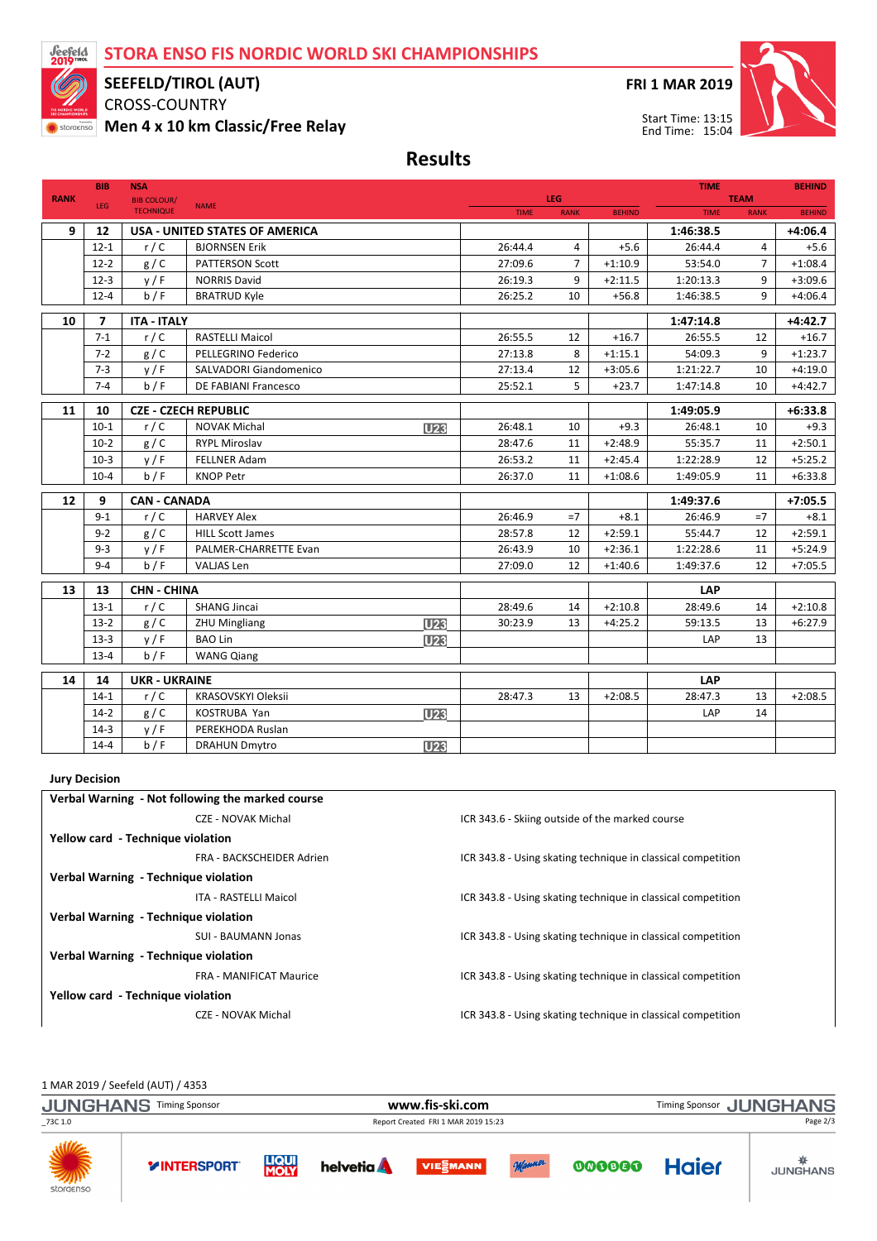### STORA ENSO FIS NORDIC WORLD SKI CHAMPIONSHIPS



#### SEEFELD/TIROL (AUT)

CROSS-COUNTRY

Men 4 x 10 km Classic/Free Relay

FRI 1 MAR 2019



Results

|             | <b>BIB</b>           | <b>NSA</b>                             |                                                |                 |                    |                     |               |                    | <b>TIME</b>                |                     |
|-------------|----------------------|----------------------------------------|------------------------------------------------|-----------------|--------------------|---------------------|---------------|--------------------|----------------------------|---------------------|
| <b>RANK</b> | LEG                  | <b>BIB COLOUR/</b><br><b>TECHNIQUE</b> | <b>NAME</b>                                    |                 | <b>TIME</b>        | LEG.<br><b>RANK</b> | <b>BEHIND</b> | <b>TIME</b>        | <b>TEAM</b><br><b>RANK</b> | <b>BEHIND</b>       |
|             |                      |                                        |                                                |                 |                    |                     |               |                    |                            |                     |
| 9           | 12                   |                                        | <b>USA - UNITED STATES OF AMERICA</b>          |                 |                    |                     |               | 1:46:38.5          |                            | $+4:06.4$           |
|             | $12 - 1$<br>$12 - 2$ | r/C                                    | <b>BJORNSEN Erik</b><br><b>PATTERSON Scott</b> |                 | 26:44.4<br>27:09.6 | 4<br>$\overline{7}$ | $+5.6$        | 26:44.4<br>53:54.0 | 4<br>$\overline{7}$        | $+5.6$<br>$+1:08.4$ |
|             |                      | g/C                                    |                                                |                 |                    | $+1:10.9$           |               |                    |                            |                     |
|             | $12-3$               | y/F                                    | <b>NORRIS David</b>                            |                 | 26:19.3            | 9                   | $+2:11.5$     | 1:20:13.3          | 9                          | $+3:09.6$           |
|             | $12 - 4$             | b / F                                  | <b>BRATRUD Kyle</b>                            |                 | 26:25.2            | 10                  | $+56.8$       | 1:46:38.5          | 9                          | $+4:06.4$           |
| 10          | 7                    | <b>ITA - ITALY</b>                     |                                                |                 |                    |                     |               | 1:47:14.8          |                            | $+4:42.7$           |
|             | $7-1$                | r/C                                    | <b>RASTELLI Maicol</b>                         |                 | 26:55.5            | 12                  | $+16.7$       | 26:55.5            | 12                         | $+16.7$             |
|             | $7 - 2$              | g/C                                    | PELLEGRINO Federico                            |                 | 27:13.8            | 8                   | $+1:15.1$     | 54:09.3            | 9                          | $+1:23.7$           |
|             | $7 - 3$              | y/F                                    | SALVADORI Giandomenico                         |                 | 27:13.4            | 12                  | $+3:05.6$     | 1:21:22.7          | 10                         | $+4:19.0$           |
|             | $7 - 4$              | b/F                                    | DE FABIANI Francesco                           |                 | 25:52.1            | 5                   | $+23.7$       | 1:47:14.8          | 10                         | $+4:42.7$           |
| 11          | 10                   |                                        | <b>CZE - CZECH REPUBLIC</b>                    |                 |                    |                     |               | 1:49:05.9          |                            | $+6:33.8$           |
|             | $10-1$               | r/C                                    | <b>NOVAK Michal</b>                            | U23             | 26:48.1            | 10                  | $+9.3$        | 26:48.1            | 10                         | $+9.3$              |
|             | $10-2$               | g/C                                    | <b>RYPL Miroslav</b>                           |                 | 28:47.6            | 11                  | $+2:48.9$     | 55:35.7            | 11                         | $+2:50.1$           |
|             | $10-3$               | y/F                                    | <b>FELLNER Adam</b>                            |                 | 26:53.2            | 11                  | $+2:45.4$     | 1:22:28.9          | 12                         | $+5:25.2$           |
|             | $10-4$               | b/F                                    | <b>KNOP Petr</b>                               |                 | 26:37.0            | 11                  | $+1:08.6$     | 1:49:05.9          | 11                         | $+6:33.8$           |
|             |                      |                                        |                                                |                 |                    |                     |               |                    |                            |                     |
| 12          | 9                    | <b>CAN - CANADA</b>                    |                                                |                 |                    |                     |               | 1:49:37.6          |                            | $+7:05.5$           |
|             | $9 - 1$              | r/C                                    | <b>HARVEY Alex</b>                             |                 | 26:46.9            | $=7$                | $+8.1$        | 26:46.9            | $=7$                       | $+8.1$              |
|             | $9 - 2$              | g / C                                  | <b>HILL Scott James</b>                        |                 | 28:57.8            | 12                  | $+2:59.1$     | 55:44.7            | 12                         | $+2:59.1$           |
|             | $9 - 3$              | y/F                                    | PALMER-CHARRETTE Evan                          |                 | 26:43.9            | 10                  | $+2:36.1$     | 1:22:28.6          | 11                         | $+5:24.9$           |
|             | $9 - 4$              | b / F                                  | VALJAS Len                                     |                 | 27:09.0            | 12                  | $+1:40.6$     | 1:49:37.6          | 12                         | $+7:05.5$           |
| 13          | 13                   | <b>CHN - CHINA</b>                     |                                                |                 |                    |                     |               | LAP                |                            |                     |
|             | $13-1$               | r/C                                    | <b>SHANG Jincai</b>                            |                 | 28:49.6            | 14                  | $+2:10.8$     | 28:49.6            | 14                         | $+2:10.8$           |
|             | $13-2$               | g/C                                    | <b>ZHU Mingliang</b>                           | U <sub>23</sub> | 30:23.9            | 13                  | $+4:25.2$     | 59:13.5            | 13                         | $+6:27.9$           |
|             | $13-3$               | y/F                                    | <b>BAO Lin</b>                                 | <b>U23</b>      |                    |                     |               | LAP                | 13                         |                     |
|             | $13 - 4$             | b / F                                  | <b>WANG Qiang</b>                              |                 |                    |                     |               |                    |                            |                     |
|             |                      |                                        |                                                |                 |                    |                     |               |                    |                            |                     |
| 14          | 14                   | <b>UKR - UKRAINE</b>                   |                                                |                 |                    |                     |               | LAP                |                            |                     |
|             | $14-1$               | r/C                                    | KRASOVSKYI Oleksii                             |                 | 28:47.3            | 13                  | $+2:08.5$     | 28:47.3            | 13                         | $+2:08.5$           |
|             | $14-2$               | g / C                                  | <b>KOSTRUBA Yan</b>                            | U <sub>23</sub> |                    |                     |               | LAP                | 14                         |                     |
|             | $14-3$               | y/F                                    | PEREKHODA Ruslan                               |                 |                    |                     |               |                    |                            |                     |
|             | $14 - 4$             | b/F                                    | <b>DRAHUN Dmytro</b>                           | U <sub>23</sub> |                    |                     |               |                    |                            |                     |

#### Jury Decision

| Verbal Warning - Not following the marked course |                                                              |  |  |  |  |  |  |
|--------------------------------------------------|--------------------------------------------------------------|--|--|--|--|--|--|
| CZE - NOVAK Michal                               | ICR 343.6 - Skiing outside of the marked course              |  |  |  |  |  |  |
| Yellow card - Technique violation                |                                                              |  |  |  |  |  |  |
| FRA - BACKSCHEIDER Adrien                        | ICR 343.8 - Using skating technique in classical competition |  |  |  |  |  |  |
| Verbal Warning - Technique violation             |                                                              |  |  |  |  |  |  |
| ITA - RASTELLI Maicol                            | ICR 343.8 - Using skating technique in classical competition |  |  |  |  |  |  |
| Verbal Warning - Technique violation             |                                                              |  |  |  |  |  |  |
| SUI - BAUMANN Jonas                              | ICR 343.8 - Using skating technique in classical competition |  |  |  |  |  |  |
| Verbal Warning - Technique violation             |                                                              |  |  |  |  |  |  |
| <b>FRA - MANIFICAT Maurice</b>                   | ICR 343.8 - Using skating technique in classical competition |  |  |  |  |  |  |
| Yellow card - Technique violation                |                                                              |  |  |  |  |  |  |
| CZE - NOVAK Michal                               | ICR 343.8 - Using skating technique in classical competition |  |  |  |  |  |  |

1 MAR 2019 / Seefeld (AUT) / 4353